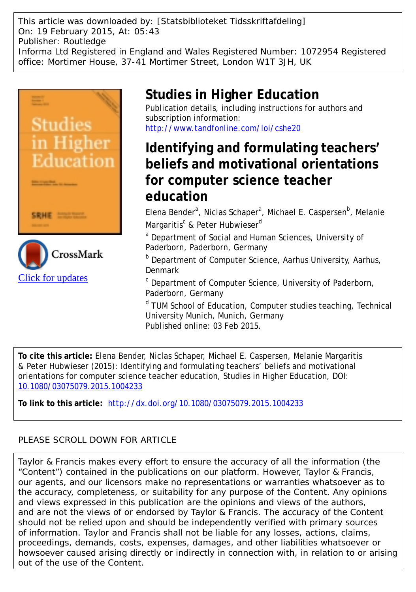This article was downloaded by: [Statsbiblioteket Tidsskriftafdeling] On: 19 February 2015, At: 05:43 Publisher: Routledge Informa Ltd Registered in England and Wales Registered Number: 1072954 Registered office: Mortimer House, 37-41 Mortimer Street, London W1T 3JH, UK



# **Studies in Higher Education**

Publication details, including instructions for authors and subscription information: <http://www.tandfonline.com/loi/cshe20>

# **Identifying and formulating teachers' beliefs and motivational orientations for computer science teacher education**

Elena Bender<sup>a</sup>, Niclas Schaper<sup>a</sup>, Michael E. Caspersen<sup>b</sup>, Melanie Margaritis<sup>c</sup> & Peter Hubwieser<sup>d</sup>

<sup>a</sup> Department of Social and Human Sciences, University of Paderborn, Paderborn, Germany

b Department of Computer Science, Aarhus University, Aarhus, Denmark

c Department of Computer Science, University of Paderborn, Paderborn, Germany

<sup>d</sup> TUM School of Education, Computer studies teaching, Technical University Munich, Munich, Germany Published online: 03 Feb 2015.

**To cite this article:** Elena Bender, Niclas Schaper, Michael E. Caspersen, Melanie Margaritis & Peter Hubwieser (2015): Identifying and formulating teachers' beliefs and motivational orientations for computer science teacher education, Studies in Higher Education, DOI: [10.1080/03075079.2015.1004233](http://www.tandfonline.com/action/showCitFormats?doi=10.1080/03075079.2015.1004233)

**To link to this article:** <http://dx.doi.org/10.1080/03075079.2015.1004233>

## PLEASE SCROLL DOWN FOR ARTICLE

Taylor & Francis makes every effort to ensure the accuracy of all the information (the "Content") contained in the publications on our platform. However, Taylor & Francis, our agents, and our licensors make no representations or warranties whatsoever as to the accuracy, completeness, or suitability for any purpose of the Content. Any opinions and views expressed in this publication are the opinions and views of the authors, and are not the views of or endorsed by Taylor & Francis. The accuracy of the Content should not be relied upon and should be independently verified with primary sources of information. Taylor and Francis shall not be liable for any losses, actions, claims, proceedings, demands, costs, expenses, damages, and other liabilities whatsoever or howsoever caused arising directly or indirectly in connection with, in relation to or arising out of the use of the Content.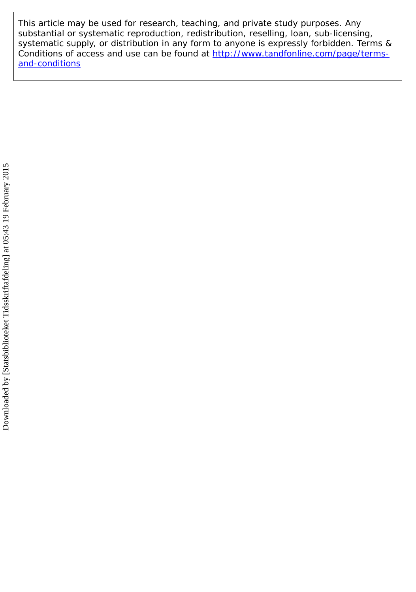This article may be used for research, teaching, and private study purposes. Any substantial or systematic reproduction, redistribution, reselling, loan, sub-licensing, systematic supply, or distribution in any form to anyone is expressly forbidden. Terms & Conditions of access and use can be found at [http://www.tandfonline.com/page/terms](http://www.tandfonline.com/page/terms-and-conditions)[and-conditions](http://www.tandfonline.com/page/terms-and-conditions)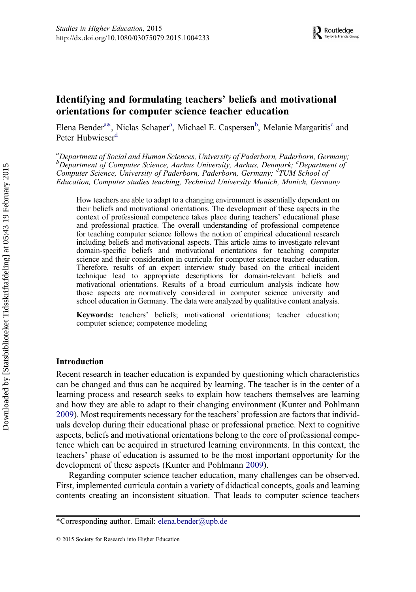## Identifying and formulating teachers' beliefs and motivational orientations for computer science teacher education

Elena Bender<sup>a\*</sup>, Niclas Schaper<sup>a</sup>, Michael E. Caspersen<sup>b</sup>, Melanie Margaritis<sup>c</sup> and Peter Hubwieser<sup>d</sup>

<sup>a</sup>Department of Social and Human Sciences, University of Paderborn, Paderborn, Germany; <sup>b</sup>Department of Computer Science, Aarhus University, Aarhus, Denmark; <sup>c</sup>Department of Computer Science, University of Paderborn, Paderborn, Germany; <sup>d</sup>TUM School of Education, Computer studies teaching, Technical University Munich, Munich, Germany

How teachers are able to adapt to a changing environment is essentially dependent on their beliefs and motivational orientations. The development of these aspects in the context of professional competence takes place during teachers' educational phase and professional practice. The overall understanding of professional competence for teaching computer science follows the notion of empirical educational research including beliefs and motivational aspects. This article aims to investigate relevant domain-specific beliefs and motivational orientations for teaching computer science and their consideration in curricula for computer science teacher education. Therefore, results of an expert interview study based on the critical incident technique lead to appropriate descriptions for domain-relevant beliefs and motivational orientations. Results of a broad curriculum analysis indicate how those aspects are normatively considered in computer science university and school education in Germany. The data were analyzed by qualitative content analysis.

Keywords: teachers' beliefs; motivational orientations; teacher education; computer science; competence modeling

## Introduction

Recent research in teacher education is expanded by questioning which characteristics can be changed and thus can be acquired by learning. The teacher is in the center of a learning process and research seeks to explain how teachers themselves are learning and how they are able to adapt to their changing environment (Kunter and Pohlmann [2009\)](#page-16-0). Most requirements necessary for the teachers' profession are factors that individuals develop during their educational phase or professional practice. Next to cognitive aspects, beliefs and motivational orientations belong to the core of professional competence which can be acquired in structured learning environments. In this context, the teachers' phase of education is assumed to be the most important opportunity for the development of these aspects (Kunter and Pohlmann [2009\)](#page-16-0).

Regarding computer science teacher education, many challenges can be observed. First, implemented curricula contain a variety of didactical concepts, goals and learning contents creating an inconsistent situation. That leads to computer science teachers

<sup>\*</sup>Corresponding author. Email: [elena.bender@upb.de](mailto:elena.bender@upb.de)

<sup>© 2015</sup> Society for Research into Higher Education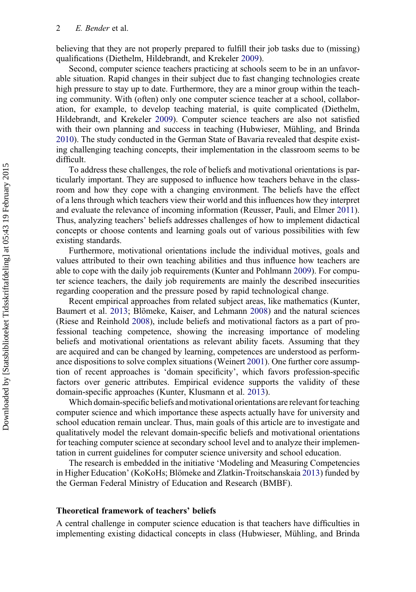believing that they are not properly prepared to fulfill their job tasks due to (missing) qualifications (Diethelm, Hildebrandt, and Krekeler [2009](#page-15-0)).

Second, computer science teachers practicing at schools seem to be in an unfavorable situation. Rapid changes in their subject due to fast changing technologies create high pressure to stay up to date. Furthermore, they are a minor group within the teaching community. With (often) only one computer science teacher at a school, collaboration, for example, to develop teaching material, is quite complicated (Diethelm, Hildebrandt, and Krekeler [2009](#page-15-0)). Computer science teachers are also not satisfied with their own planning and success in teaching (Hubwieser, Mühling, and Brinda [2010\)](#page-16-0). The study conducted in the German State of Bavaria revealed that despite existing challenging teaching concepts, their implementation in the classroom seems to be difficult.

To address these challenges, the role of beliefs and motivational orientations is particularly important. They are supposed to influence how teachers behave in the classroom and how they cope with a changing environment. The beliefs have the effect of a lens through which teachers view their world and this influences how they interpret and evaluate the relevance of incoming information (Reusser, Pauli, and Elmer [2011\)](#page-16-0). Thus, analyzing teachers' beliefs addresses challenges of how to implement didactical concepts or choose contents and learning goals out of various possibilities with few existing standards.

Furthermore, motivational orientations include the individual motives, goals and values attributed to their own teaching abilities and thus influence how teachers are able to cope with the daily job requirements (Kunter and Pohlmann [2009](#page-16-0)). For computer science teachers, the daily job requirements are mainly the described insecurities regarding cooperation and the pressure posed by rapid technological change.

Recent empirical approaches from related subject areas, like mathematics (Kunter, Baumert et al. [2013;](#page-16-0) Blömeke, Kaiser, and Lehmann [2008\)](#page-15-0) and the natural sciences (Riese and Reinhold [2008\)](#page-16-0), include beliefs and motivational factors as a part of professional teaching competence, showing the increasing importance of modeling beliefs and motivational orientations as relevant ability facets. Assuming that they are acquired and can be changed by learning, competences are understood as performance dispositions to solve complex situations (Weinert [2001\)](#page-17-0). One further core assumption of recent approaches is 'domain specificity', which favors profession-specific factors over generic attributes. Empirical evidence supports the validity of these domain-specific approaches (Kunter, Klusmann et al. [2013](#page-16-0)).

Which domain-specific beliefs and motivational orientations are relevant for teaching computer science and which importance these aspects actually have for university and school education remain unclear. Thus, main goals of this article are to investigate and qualitatively model the relevant domain-specific beliefs and motivational orientations for teaching computer science at secondary school level and to analyze their implementation in current guidelines for computer science university and school education.

The research is embedded in the initiative 'Modeling and Measuring Competencies in Higher Education' (KoKoHs; Blömeke and Zlatkin-Troitschanskaia [2013\)](#page-15-0) funded by the German Federal Ministry of Education and Research (BMBF).

#### Theoretical framework of teachers' beliefs

A central challenge in computer science education is that teachers have difficulties in implementing existing didactical concepts in class (Hubwieser, Mühling, and Brinda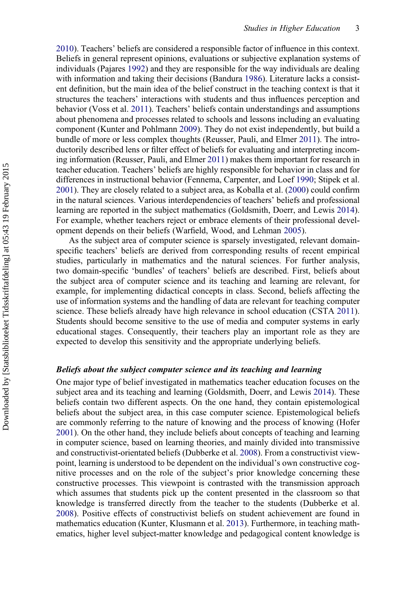[2010\)](#page-16-0). Teachers' beliefs are considered a responsible factor of influence in this context. Beliefs in general represent opinions, evaluations or subjective explanation systems of individuals (Pajares [1992](#page-16-0)) and they are responsible for the way individuals are dealing with information and taking their decisions (Bandura [1986](#page-15-0)). Literature lacks a consistent definition, but the main idea of the belief construct in the teaching context is that it structures the teachers' interactions with students and thus influences perception and behavior (Voss et al. [2011](#page-17-0)). Teachers' beliefs contain understandings and assumptions about phenomena and processes related to schools and lessons including an evaluating component (Kunter and Pohlmann [2009\)](#page-16-0). They do not exist independently, but build a bundle of more or less complex thoughts (Reusser, Pauli, and Elmer [2011\)](#page-16-0). The introductorily described lens or filter effect of beliefs for evaluating and interpreting incoming information (Reusser, Pauli, and Elmer [2011](#page-16-0)) makes them important for research in teacher education. Teachers' beliefs are highly responsible for behavior in class and for differences in instructional behavior (Fennema, Carpenter, and Loef [1990](#page-15-0); Stipek et al. [2001\)](#page-17-0). They are closely related to a subject area, as Koballa et al. ([2000\)](#page-16-0) could confirm in the natural sciences. Various interdependencies of teachers' beliefs and professional learning are reported in the subject mathematics (Goldsmith, Doerr, and Lewis [2014\)](#page-15-0). For example, whether teachers reject or embrace elements of their professional development depends on their beliefs (Warfield, Wood, and Lehman [2005\)](#page-17-0).

As the subject area of computer science is sparsely investigated, relevant domainspecific teachers' beliefs are derived from corresponding results of recent empirical studies, particularly in mathematics and the natural sciences. For further analysis, two domain-specific 'bundles' of teachers' beliefs are described. First, beliefs about the subject area of computer science and its teaching and learning are relevant, for example, for implementing didactical concepts in class. Second, beliefs affecting the use of information systems and the handling of data are relevant for teaching computer science. These beliefs already have high relevance in school education (CSTA [2011\)](#page-15-0). Students should become sensitive to the use of media and computer systems in early educational stages. Consequently, their teachers play an important role as they are expected to develop this sensitivity and the appropriate underlying beliefs.

## Beliefs about the subject computer science and its teaching and learning

One major type of belief investigated in mathematics teacher education focuses on the subject area and its teaching and learning (Goldsmith, Doerr, and Lewis [2014\)](#page-15-0). These beliefs contain two different aspects. On the one hand, they contain epistemological beliefs about the subject area, in this case computer science. Epistemological beliefs are commonly referring to the nature of knowing and the process of knowing (Hofer [2001\)](#page-15-0). On the other hand, they include beliefs about concepts of teaching and learning in computer science, based on learning theories, and mainly divided into transmissive and constructivist-orientated beliefs (Dubberke et al. [2008\)](#page-15-0). From a constructivist viewpoint, learning is understood to be dependent on the individual's own constructive cognitive processes and on the role of the subject's prior knowledge concerning these constructive processes. This viewpoint is contrasted with the transmission approach which assumes that students pick up the content presented in the classroom so that knowledge is transferred directly from the teacher to the students (Dubberke et al. [2008\)](#page-15-0). Positive effects of constructivist beliefs on student achievement are found in mathematics education (Kunter, Klusmann et al. [2013](#page-16-0)). Furthermore, in teaching mathematics, higher level subject-matter knowledge and pedagogical content knowledge is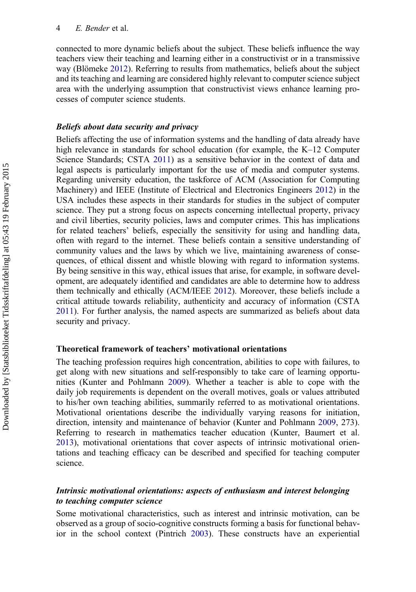connected to more dynamic beliefs about the subject. These beliefs influence the way teachers view their teaching and learning either in a constructivist or in a transmissive way (Blömeke [2012\)](#page-15-0). Referring to results from mathematics, beliefs about the subject and its teaching and learning are considered highly relevant to computer science subject area with the underlying assumption that constructivist views enhance learning processes of computer science students.

### Beliefs about data security and privacy

Beliefs affecting the use of information systems and the handling of data already have high relevance in standards for school education (for example, the K–12 Computer Science Standards; CSTA [2011\)](#page-15-0) as a sensitive behavior in the context of data and legal aspects is particularly important for the use of media and computer systems. Regarding university education, the taskforce of ACM (Association for Computing Machinery) and IEEE (Institute of Electrical and Electronics Engineers [2012](#page-17-0)) in the USA includes these aspects in their standards for studies in the subject of computer science. They put a strong focus on aspects concerning intellectual property, privacy and civil liberties, security policies, laws and computer crimes. This has implications for related teachers' beliefs, especially the sensitivity for using and handling data, often with regard to the internet. These beliefs contain a sensitive understanding of community values and the laws by which we live, maintaining awareness of consequences, of ethical dissent and whistle blowing with regard to information systems. By being sensitive in this way, ethical issues that arise, for example, in software development, are adequately identified and candidates are able to determine how to address them technically and ethically (ACM/IEEE [2012\)](#page-17-0). Moreover, these beliefs include a critical attitude towards reliability, authenticity and accuracy of information (CSTA [2011\)](#page-15-0). For further analysis, the named aspects are summarized as beliefs about data security and privacy.

## Theoretical framework of teachers' motivational orientations

The teaching profession requires high concentration, abilities to cope with failures, to get along with new situations and self-responsibly to take care of learning opportunities (Kunter and Pohlmann [2009](#page-16-0)). Whether a teacher is able to cope with the daily job requirements is dependent on the overall motives, goals or values attributed to his/her own teaching abilities, summarily referred to as motivational orientations. Motivational orientations describe the individually varying reasons for initiation, direction, intensity and maintenance of behavior (Kunter and Pohlmann [2009](#page-16-0), 273). Referring to research in mathematics teacher education (Kunter, Baumert et al. [2013\)](#page-16-0), motivational orientations that cover aspects of intrinsic motivational orientations and teaching efficacy can be described and specified for teaching computer science.

## Intrinsic motivational orientations: aspects of enthusiasm and interest belonging to teaching computer science

Some motivational characteristics, such as interest and intrinsic motivation, can be observed as a group of socio-cognitive constructs forming a basis for functional behavior in the school context (Pintrich [2003](#page-16-0)). These constructs have an experiential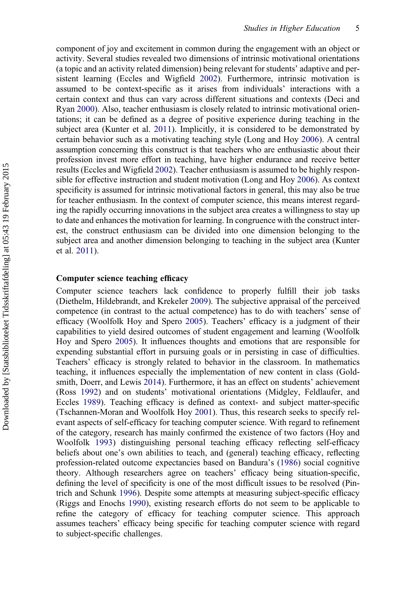component of joy and excitement in common during the engagement with an object or activity. Several studies revealed two dimensions of intrinsic motivational orientations (a topic and an activity related dimension) being relevant for students' adaptive and persistent learning (Eccles and Wigfield [2002\)](#page-15-0). Furthermore, intrinsic motivation is assumed to be context-specific as it arises from individuals' interactions with a certain context and thus can vary across different situations and contexts (Deci and Ryan [2000](#page-15-0)). Also, teacher enthusiasm is closely related to intrinsic motivational orientations; it can be defined as a degree of positive experience during teaching in the subject area (Kunter et al. [2011\)](#page-16-0). Implicitly, it is considered to be demonstrated by certain behavior such as a motivating teaching style (Long and Hoy [2006](#page-16-0)). A central assumption concerning this construct is that teachers who are enthusiastic about their profession invest more effort in teaching, have higher endurance and receive better results (Eccles and Wigfield [2002\)](#page-15-0). Teacher enthusiasm is assumed to be highly responsible for effective instruction and student motivation (Long and Hoy [2006](#page-16-0)). As context specificity is assumed for intrinsic motivational factors in general, this may also be true for teacher enthusiasm. In the context of computer science, this means interest regarding the rapidly occurring innovations in the subject area creates a willingness to stay up to date and enhances the motivation for learning. In congruence with the construct interest, the construct enthusiasm can be divided into one dimension belonging to the subject area and another dimension belonging to teaching in the subject area (Kunter et al. [2011](#page-16-0)).

## Computer science teaching efficacy

Computer science teachers lack confidence to properly fulfill their job tasks (Diethelm, Hildebrandt, and Krekeler [2009\)](#page-15-0). The subjective appraisal of the perceived competence (in contrast to the actual competence) has to do with teachers' sense of efficacy (Woolfolk Hoy and Spero [2005\)](#page-17-0). Teachers' efficacy is a judgment of their capabilities to yield desired outcomes of student engagement and learning (Woolfolk Hoy and Spero [2005\)](#page-17-0). It influences thoughts and emotions that are responsible for expending substantial effort in pursuing goals or in persisting in case of difficulties. Teachers' efficacy is strongly related to behavior in the classroom. In mathematics teaching, it influences especially the implementation of new content in class (Goldsmith, Doerr, and Lewis [2014](#page-15-0)). Furthermore, it has an effect on students' achievement (Ross [1992](#page-17-0)) and on students' motivational orientations (Midgley, Feldlaufer, and Eccles [1989](#page-16-0)). Teaching efficacy is defined as context- and subject matter-specific (Tschannen-Moran and Woolfolk Hoy [2001](#page-17-0)). Thus, this research seeks to specify relevant aspects of self-efficacy for teaching computer science. With regard to refinement of the category, research has mainly confirmed the existence of two factors (Hoy and Woolfolk [1993\)](#page-16-0) distinguishing personal teaching efficacy reflecting self-efficacy beliefs about one's own abilities to teach, and (general) teaching efficacy, reflecting profession-related outcome expectancies based on Bandura's [\(1986](#page-15-0)) social cognitive theory. Although researchers agree on teachers' efficacy being situation-specific, defining the level of specificity is one of the most difficult issues to be resolved (Pintrich and Schunk [1996](#page-16-0)). Despite some attempts at measuring subject-specific efficacy (Riggs and Enochs [1990](#page-16-0)), existing research efforts do not seem to be applicable to refine the category of efficacy for teaching computer science. This approach assumes teachers' efficacy being specific for teaching computer science with regard to subject-specific challenges.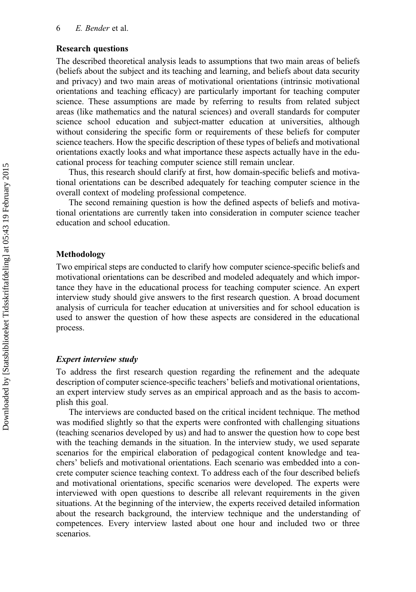### Research questions

The described theoretical analysis leads to assumptions that two main areas of beliefs (beliefs about the subject and its teaching and learning, and beliefs about data security and privacy) and two main areas of motivational orientations (intrinsic motivational orientations and teaching efficacy) are particularly important for teaching computer science. These assumptions are made by referring to results from related subject areas (like mathematics and the natural sciences) and overall standards for computer science school education and subject-matter education at universities, although without considering the specific form or requirements of these beliefs for computer science teachers. How the specific description of these types of beliefs and motivational orientations exactly looks and what importance these aspects actually have in the educational process for teaching computer science still remain unclear.

Thus, this research should clarify at first, how domain-specific beliefs and motivational orientations can be described adequately for teaching computer science in the overall context of modeling professional competence.

The second remaining question is how the defined aspects of beliefs and motivational orientations are currently taken into consideration in computer science teacher education and school education.

#### Methodology

Two empirical steps are conducted to clarify how computer science-specific beliefs and motivational orientations can be described and modeled adequately and which importance they have in the educational process for teaching computer science. An expert interview study should give answers to the first research question. A broad document analysis of curricula for teacher education at universities and for school education is used to answer the question of how these aspects are considered in the educational process.

#### Expert interview study

To address the first research question regarding the refinement and the adequate description of computer science-specific teachers' beliefs and motivational orientations, an expert interview study serves as an empirical approach and as the basis to accomplish this goal.

The interviews are conducted based on the critical incident technique. The method was modified slightly so that the experts were confronted with challenging situations (teaching scenarios developed by us) and had to answer the question how to cope best with the teaching demands in the situation. In the interview study, we used separate scenarios for the empirical elaboration of pedagogical content knowledge and teachers' beliefs and motivational orientations. Each scenario was embedded into a concrete computer science teaching context. To address each of the four described beliefs and motivational orientations, specific scenarios were developed. The experts were interviewed with open questions to describe all relevant requirements in the given situations. At the beginning of the interview, the experts received detailed information about the research background, the interview technique and the understanding of competences. Every interview lasted about one hour and included two or three scenarios.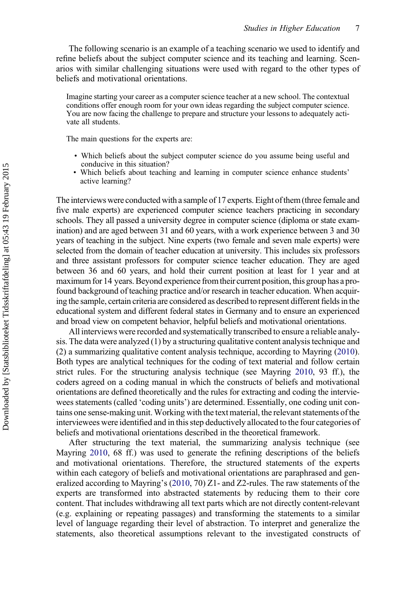The following scenario is an example of a teaching scenario we used to identify and refine beliefs about the subject computer science and its teaching and learning. Scenarios with similar challenging situations were used with regard to the other types of beliefs and motivational orientations.

Imagine starting your career as a computer science teacher at a new school. The contextual conditions offer enough room for your own ideas regarding the subject computer science. You are now facing the challenge to prepare and structure your lessons to adequately activate all students.

The main questions for the experts are:

- Which beliefs about the subject computer science do you assume being useful and conducive in this situation?
- Which beliefs about teaching and learning in computer science enhance students' active learning?

The interviews were conducted with a sample of 17 experts. Eight of them (three female and five male experts) are experienced computer science teachers practicing in secondary schools. They all passed a university degree in computer science (diploma or state examination) and are aged between 31 and 60 years, with a work experience between 3 and 30 years of teaching in the subject. Nine experts (two female and seven male experts) were selected from the domain of teacher education at university. This includes six professors and three assistant professors for computer science teacher education. They are aged between 36 and 60 years, and hold their current position at least for 1 year and at maximum for 14 years. Beyond experience fromtheir current position, this group has a profound background of teaching practice and/or research in teacher education. When acquiring the sample, certain criteria are considered as described to represent different fields in the educational system and different federal states in Germany and to ensure an experienced and broad view on competent behavior, helpful beliefs and motivational orientations.

All interviews were recorded and systematically transcribed to ensure a reliable analysis. The data were analyzed (1) by a structuring qualitative content analysis technique and (2) a summarizing qualitative content analysis technique, according to Mayring ([2010\)](#page-16-0). Both types are analytical techniques for the coding of text material and follow certain strict rules. For the structuring analysis technique (see Mayring [2010,](#page-16-0) 93 ff.), the coders agreed on a coding manual in which the constructs of beliefs and motivational orientations are defined theoretically and the rules for extracting and coding the interviewees statements (called 'coding units') are determined. Essentially, one coding unit contains one sense-making unit.Working with the text material, the relevant statements of the interviewees were identified and in this step deductively allocated to the four categories of beliefs and motivational orientations described in the theoretical framework.

After structuring the text material, the summarizing analysis technique (see Mayring [2010,](#page-16-0) 68 ff.) was used to generate the refining descriptions of the beliefs and motivational orientations. Therefore, the structured statements of the experts within each category of beliefs and motivational orientations are paraphrased and generalized according to Mayring's [\(2010](#page-16-0), 70) Z1- and Z2-rules. The raw statements of the experts are transformed into abstracted statements by reducing them to their core content. That includes withdrawing all text parts which are not directly content-relevant (e.g. explaining or repeating passages) and transforming the statements to a similar level of language regarding their level of abstraction. To interpret and generalize the statements, also theoretical assumptions relevant to the investigated constructs of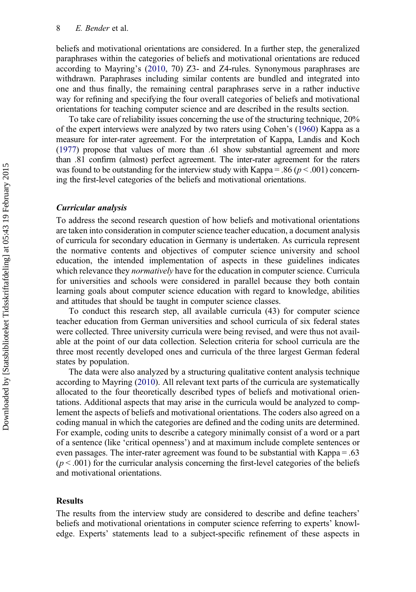beliefs and motivational orientations are considered. In a further step, the generalized paraphrases within the categories of beliefs and motivational orientations are reduced according to Mayring's [\(2010](#page-16-0), 70) Z3- and Z4-rules. Synonymous paraphrases are withdrawn. Paraphrases including similar contents are bundled and integrated into one and thus finally, the remaining central paraphrases serve in a rather inductive way for refining and specifying the four overall categories of beliefs and motivational orientations for teaching computer science and are described in the results section.

To take care of reliability issues concerning the use of the structuring technique, 20% of the expert interviews were analyzed by two raters using Cohen's [\(1960\)](#page-15-0) Kappa as a measure for inter-rater agreement. For the interpretation of Kappa, Landis and Koch ([1977](#page-16-0)) propose that values of more than .61 show substantial agreement and more than .81 confirm (almost) perfect agreement. The inter-rater agreement for the raters was found to be outstanding for the interview study with Kappa = .86 ( $p < .001$ ) concerning the first-level categories of the beliefs and motivational orientations.

#### Curricular analysis

To address the second research question of how beliefs and motivational orientations are taken into consideration in computer science teacher education, a document analysis of curricula for secondary education in Germany is undertaken. As curricula represent the normative contents and objectives of computer science university and school education, the intended implementation of aspects in these guidelines indicates which relevance they *normatively* have for the education in computer science. Curricula for universities and schools were considered in parallel because they both contain learning goals about computer science education with regard to knowledge, abilities and attitudes that should be taught in computer science classes.

To conduct this research step, all available curricula (43) for computer science teacher education from German universities and school curricula of six federal states were collected. Three university curricula were being revised, and were thus not available at the point of our data collection. Selection criteria for school curricula are the three most recently developed ones and curricula of the three largest German federal states by population.

The data were also analyzed by a structuring qualitative content analysis technique according to Mayring [\(2010](#page-16-0)). All relevant text parts of the curricula are systematically allocated to the four theoretically described types of beliefs and motivational orientations. Additional aspects that may arise in the curricula would be analyzed to complement the aspects of beliefs and motivational orientations. The coders also agreed on a coding manual in which the categories are defined and the coding units are determined. For example, coding units to describe a category minimally consist of a word or a part of a sentence (like 'critical openness') and at maximum include complete sentences or even passages. The inter-rater agreement was found to be substantial with Kappa = .63  $(p < .001)$  for the curricular analysis concerning the first-level categories of the beliefs and motivational orientations.

#### Results

The results from the interview study are considered to describe and define teachers' beliefs and motivational orientations in computer science referring to experts' knowledge. Experts' statements lead to a subject-specific refinement of these aspects in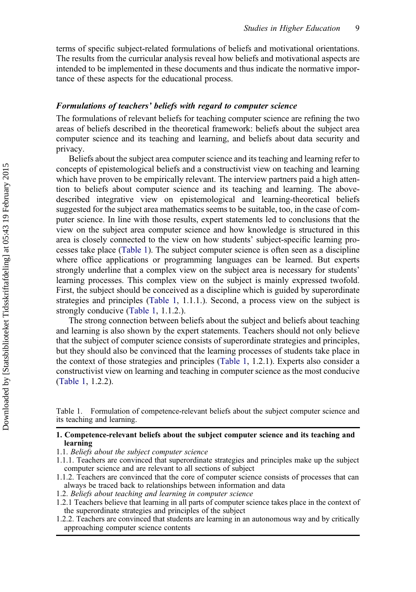terms of specific subject-related formulations of beliefs and motivational orientations. The results from the curricular analysis reveal how beliefs and motivational aspects are intended to be implemented in these documents and thus indicate the normative importance of these aspects for the educational process.

## Formulations of teachers' beliefs with regard to computer science

The formulations of relevant beliefs for teaching computer science are refining the two areas of beliefs described in the theoretical framework: beliefs about the subject area computer science and its teaching and learning, and beliefs about data security and privacy.

Beliefs about the subject area computer science and its teaching and learning refer to concepts of epistemological beliefs and a constructivist view on teaching and learning which have proven to be empirically relevant. The interview partners paid a high attention to beliefs about computer science and its teaching and learning. The abovedescribed integrative view on epistemological and learning-theoretical beliefs suggested for the subject area mathematics seems to be suitable, too, in the case of computer science. In line with those results, expert statements led to conclusions that the view on the subject area computer science and how knowledge is structured in this area is closely connected to the view on how students' subject-specific learning processes take place (Table 1). The subject computer science is often seen as a discipline where office applications or programming languages can be learned. But experts strongly underline that a complex view on the subject area is necessary for students' learning processes. This complex view on the subject is mainly expressed twofold. First, the subject should be conceived as a discipline which is guided by superordinate strategies and principles (Table 1, 1.1.1.). Second, a process view on the subject is strongly conducive (Table 1, 1.1.2.).

The strong connection between beliefs about the subject and beliefs about teaching and learning is also shown by the expert statements. Teachers should not only believe that the subject of computer science consists of superordinate strategies and principles, but they should also be convinced that the learning processes of students take place in the context of those strategies and principles (Table 1, 1.2.1). Experts also consider a constructivist view on learning and teaching in computer science as the most conducive (Table 1, 1.2.2).

Table 1. Formulation of competence-relevant beliefs about the subject computer science and its teaching and learning.

## 1. Competence-relevant beliefs about the subject computer science and its teaching and learning

- 1.1. Beliefs about the subject computer science
- 1.1.1. Teachers are convinced that superordinate strategies and principles make up the subject computer science and are relevant to all sections of subject
- 1.1.2. Teachers are convinced that the core of computer science consists of processes that can always be traced back to relationships between information and data
- 1.2. Beliefs about teaching and learning in computer science
- 1.2.1 Teachers believe that learning in all parts of computer science takes place in the context of the superordinate strategies and principles of the subject
- 1.2.2. Teachers are convinced that students are learning in an autonomous way and by critically approaching computer science contents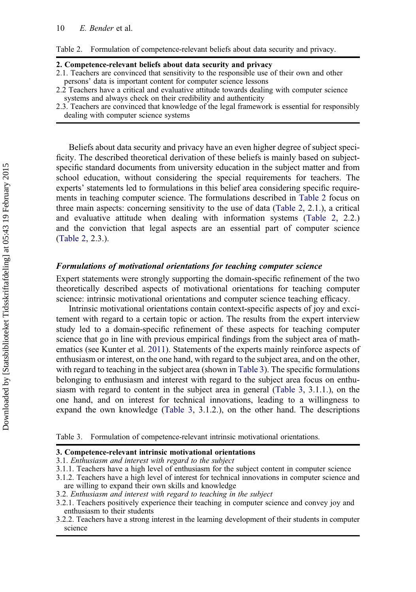<span id="page-11-0"></span>Table 2. Formulation of competence-relevant beliefs about data security and privacy.

#### 2. Competence-relevant beliefs about data security and privacy

- 2.1. Teachers are convinced that sensitivity to the responsible use of their own and other persons' data is important content for computer science lessons
- 2.2 Teachers have a critical and evaluative attitude towards dealing with computer science systems and always check on their credibility and authenticity
- 2.3. Teachers are convinced that knowledge of the legal framework is essential for responsibly dealing with computer science systems

Beliefs about data security and privacy have an even higher degree of subject specificity. The described theoretical derivation of these beliefs is mainly based on subjectspecific standard documents from university education in the subject matter and from school education, without considering the special requirements for teachers. The experts' statements led to formulations in this belief area considering specific requirements in teaching computer science. The formulations described in Table 2 focus on three main aspects: concerning sensitivity to the use of data (Table 2, 2.1.), a critical and evaluative attitude when dealing with information systems (Table 2, 2.2.) and the conviction that legal aspects are an essential part of computer science (Table 2, 2.3.).

## Formulations of motivational orientations for teaching computer science

Expert statements were strongly supporting the domain-specific refinement of the two theoretically described aspects of motivational orientations for teaching computer science: intrinsic motivational orientations and computer science teaching efficacy.

Intrinsic motivational orientations contain context-specific aspects of joy and excitement with regard to a certain topic or action. The results from the expert interview study led to a domain-specific refinement of these aspects for teaching computer science that go in line with previous empirical findings from the subject area of mathematics (see Kunter et al. [2011](#page-16-0)). Statements of the experts mainly reinforce aspects of enthusiasm or interest, on the one hand, with regard to the subject area, and on the other, with regard to teaching in the subject area (shown in Table 3). The specific formulations belonging to enthusiasm and interest with regard to the subject area focus on enthusiasm with regard to content in the subject area in general (Table 3, 3.1.1.), on the one hand, and on interest for technical innovations, leading to a willingness to expand the own knowledge (Table 3, 3.1.2.), on the other hand. The descriptions

Table 3. Formulation of competence-relevant intrinsic motivational orientations.

#### 3. Competence-relevant intrinsic motivational orientations

- 3.1. Enthusiasm and interest with regard to the subject
- 3.1.1. Teachers have a high level of enthusiasm for the subject content in computer science
- 3.1.2. Teachers have a high level of interest for technical innovations in computer science and are willing to expand their own skills and knowledge
- 3.2. Enthusiasm and interest with regard to teaching in the subject

3.2.1. Teachers positively experience their teaching in computer science and convey joy and enthusiasm to their students

3.2.2. Teachers have a strong interest in the learning development of their students in computer science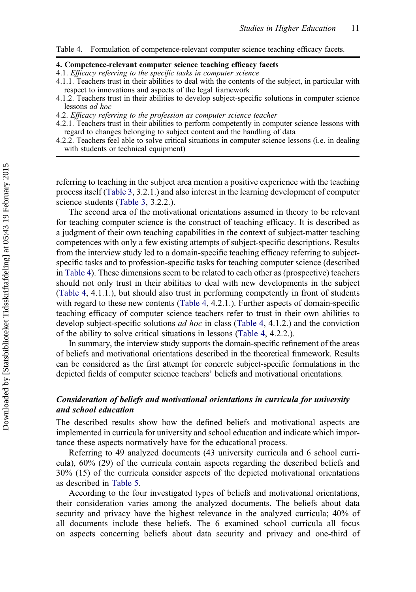Table 4. Formulation of competence-relevant computer science teaching efficacy facets.

#### 4. Competence-relevant computer science teaching efficacy facets

- 4.1. Efficacy referring to the specific tasks in computer science
- 4.1.1. Teachers trust in their abilities to deal with the contents of the subject, in particular with respect to innovations and aspects of the legal framework
- 4.1.2. Teachers trust in their abilities to develop subject-specific solutions in computer science lessons ad hoc
- 4.2. Efficacy referring to the profession as computer science teacher
- 4.2.1. Teachers trust in their abilities to perform competently in computer science lessons with regard to changes belonging to subject content and the handling of data
- 4.2.2. Teachers feel able to solve critical situations in computer science lessons (i.e. in dealing with students or technical equipment)

referring to teaching in the subject area mention a positive experience with the teaching process itself [\(Table 3,](#page-11-0) 3.2.1.) and also interest in the learning development of computer science students ([Table 3,](#page-11-0) 3.2.2.).

The second area of the motivational orientations assumed in theory to be relevant for teaching computer science is the construct of teaching efficacy. It is described as a judgment of their own teaching capabilities in the context of subject-matter teaching competences with only a few existing attempts of subject-specific descriptions. Results from the interview study led to a domain-specific teaching efficacy referring to subjectspecific tasks and to profession-specific tasks for teaching computer science (described in Table 4). These dimensions seem to be related to each other as (prospective) teachers should not only trust in their abilities to deal with new developments in the subject (Table 4, 4.1.1.), but should also trust in performing competently in front of students with regard to these new contents (Table 4, 4.2.1.). Further aspects of domain-specific teaching efficacy of computer science teachers refer to trust in their own abilities to develop subject-specific solutions *ad hoc* in class (Table 4, 4.1.2.) and the conviction of the ability to solve critical situations in lessons (Table 4, 4.2.2.).

In summary, the interview study supports the domain-specific refinement of the areas of beliefs and motivational orientations described in the theoretical framework. Results can be considered as the first attempt for concrete subject-specific formulations in the depicted fields of computer science teachers' beliefs and motivational orientations.

## Consideration of beliefs and motivational orientations in curricula for university and school education

The described results show how the defined beliefs and motivational aspects are implemented in curricula for university and school education and indicate which importance these aspects normatively have for the educational process.

Referring to 49 analyzed documents (43 university curricula and 6 school curricula), 60% (29) of the curricula contain aspects regarding the described beliefs and 30% (15) of the curricula consider aspects of the depicted motivational orientations as described in [Table 5](#page-13-0).

According to the four investigated types of beliefs and motivational orientations, their consideration varies among the analyzed documents. The beliefs about data security and privacy have the highest relevance in the analyzed curricula; 40% of all documents include these beliefs. The 6 examined school curricula all focus on aspects concerning beliefs about data security and privacy and one-third of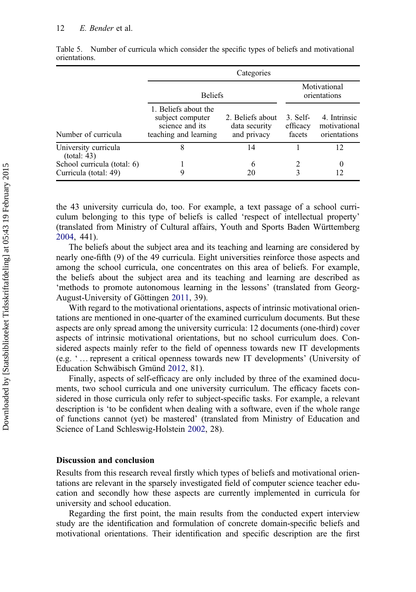#### <span id="page-13-0"></span>12 E. Bender et al.

|                                                      | Categories                                                                           |                                                  |                                |                                              |
|------------------------------------------------------|--------------------------------------------------------------------------------------|--------------------------------------------------|--------------------------------|----------------------------------------------|
|                                                      | <b>Beliefs</b>                                                                       |                                                  | Motivational<br>orientations   |                                              |
| Number of curricula                                  | 1. Beliefs about the<br>subject computer<br>science and its<br>teaching and learning | 2. Beliefs about<br>data security<br>and privacy | 3. Self-<br>efficacy<br>facets | 4. Intrinsic<br>motivational<br>orientations |
| University curricula<br>(total: 43)                  | 8                                                                                    | 14                                               |                                | 12                                           |
| School curricula (total: 6)<br>Curricula (total: 49) |                                                                                      | 6<br>20                                          |                                | 0<br>12                                      |

Table 5. Number of curricula which consider the specific types of beliefs and motivational orientations.

the 43 university curricula do, too. For example, a text passage of a school curriculum belonging to this type of beliefs is called 'respect of intellectual property' (translated from Ministry of Cultural affairs, Youth and Sports Baden Württemberg [2004,](#page-16-0) 441).

The beliefs about the subject area and its teaching and learning are considered by nearly one-fifth (9) of the 49 curricula. Eight universities reinforce those aspects and among the school curricula, one concentrates on this area of beliefs. For example, the beliefs about the subject area and its teaching and learning are described as 'methods to promote autonomous learning in the lessons' (translated from Georg-August-University of Göttingen [2011,](#page-15-0) 39).

With regard to the motivational orientations, aspects of intrinsic motivational orientations are mentioned in one-quarter of the examined curriculum documents. But these aspects are only spread among the university curricula: 12 documents (one-third) cover aspects of intrinsic motivational orientations, but no school curriculum does. Considered aspects mainly refer to the field of openness towards new IT developments (e.g. ' … represent a critical openness towards new IT developments' (University of Education Schwäbisch Gmünd [2012](#page-16-0), 81).

Finally, aspects of self-efficacy are only included by three of the examined documents, two school curricula and one university curriculum. The efficacy facets considered in those curricula only refer to subject-specific tasks. For example, a relevant description is 'to be confident when dealing with a software, even if the whole range of functions cannot (yet) be mastered' (translated from Ministry of Education and Science of Land Schleswig-Holstein [2002,](#page-16-0) 28).

## Discussion and conclusion

Results from this research reveal firstly which types of beliefs and motivational orientations are relevant in the sparsely investigated field of computer science teacher education and secondly how these aspects are currently implemented in curricula for university and school education.

Regarding the first point, the main results from the conducted expert interview study are the identification and formulation of concrete domain-specific beliefs and motivational orientations. Their identification and specific description are the first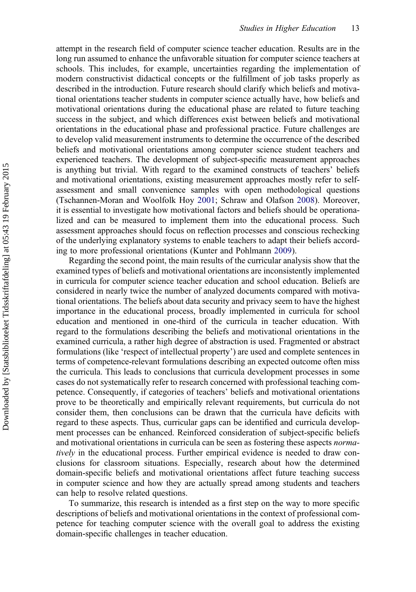attempt in the research field of computer science teacher education. Results are in the long run assumed to enhance the unfavorable situation for computer science teachers at schools. This includes, for example, uncertainties regarding the implementation of modern constructivist didactical concepts or the fulfillment of job tasks properly as described in the introduction. Future research should clarify which beliefs and motivational orientations teacher students in computer science actually have, how beliefs and motivational orientations during the educational phase are related to future teaching success in the subject, and which differences exist between beliefs and motivational orientations in the educational phase and professional practice. Future challenges are to develop valid measurement instruments to determine the occurrence of the described beliefs and motivational orientations among computer science student teachers and experienced teachers. The development of subject-specific measurement approaches is anything but trivial. With regard to the examined constructs of teachers' beliefs and motivational orientations, existing measurement approaches mostly refer to selfassessment and small convenience samples with open methodological questions (Tschannen-Moran and Woolfolk Hoy [2001](#page-17-0); Schraw and Olafson [2008](#page-17-0)). Moreover, it is essential to investigate how motivational factors and beliefs should be operationalized and can be measured to implement them into the educational process. Such assessment approaches should focus on reflection processes and conscious rechecking of the underlying explanatory systems to enable teachers to adapt their beliefs according to more professional orientations (Kunter and Pohlmann [2009](#page-16-0)).

Regarding the second point, the main results of the curricular analysis show that the examined types of beliefs and motivational orientations are inconsistently implemented in curricula for computer science teacher education and school education. Beliefs are considered in nearly twice the number of analyzed documents compared with motivational orientations. The beliefs about data security and privacy seem to have the highest importance in the educational process, broadly implemented in curricula for school education and mentioned in one-third of the curricula in teacher education. With regard to the formulations describing the beliefs and motivational orientations in the examined curricula, a rather high degree of abstraction is used. Fragmented or abstract formulations (like 'respect of intellectual property') are used and complete sentences in terms of competence-relevant formulations describing an expected outcome often miss the curricula. This leads to conclusions that curricula development processes in some cases do not systematically refer to research concerned with professional teaching competence. Consequently, if categories of teachers' beliefs and motivational orientations prove to be theoretically and empirically relevant requirements, but curricula do not consider them, then conclusions can be drawn that the curricula have deficits with regard to these aspects. Thus, curricular gaps can be identified and curricula development processes can be enhanced. Reinforced consideration of subject-specific beliefs and motivational orientations in curricula can be seen as fostering these aspects normatively in the educational process. Further empirical evidence is needed to draw conclusions for classroom situations. Especially, research about how the determined domain-specific beliefs and motivational orientations affect future teaching success in computer science and how they are actually spread among students and teachers can help to resolve related questions.

To summarize, this research is intended as a first step on the way to more specific descriptions of beliefs and motivational orientations in the context of professional competence for teaching computer science with the overall goal to address the existing domain-specific challenges in teacher education.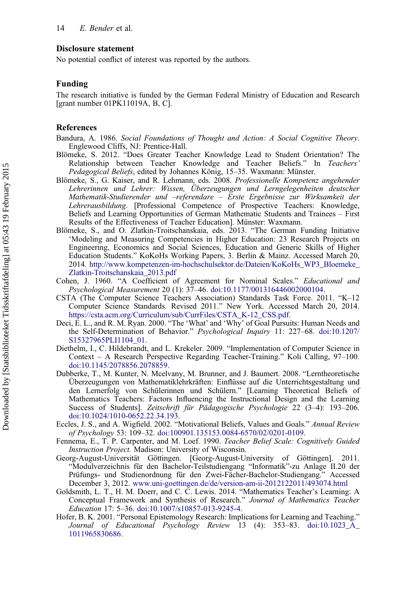## <span id="page-15-0"></span>Disclosure statement

No potential conflict of interest was reported by the authors.

#### Funding

The research initiative is funded by the German Federal Ministry of Education and Research [grant number 01PK11019A, B, C].

#### References

Bandura, A. 1986. Social Foundations of Thought and Action: A Social Cognitive Theory. Englewood Cliffs, NJ: Prentice-Hall.

- Blömeke, S. 2012. "Does Greater Teacher Knowledge Lead to Student Orientation? The Relationship between Teacher Knowledge and Teacher Beliefs." In Teachers' Pedagogical Beliefs, edited by Johannes König, 15–35. Waxmann: Münster.
- Blömeke, S., G. Kaiser, and R. Lehmann, eds. 2008. Professionelle Kompetenz angehender Lehrerinnen und Lehrer: Wissen, Überzeugungen und Lerngelegenheiten deutscher Mathematik-Studierender und –referendare – Erste Ergebnisse zur Wirksamkeit der Lehrerausbildung. [Professional Competence of Prospective Teachers: Knowledge, Beliefs and Learning Opportunities of German Mathematic Students and Trainees – First Results of the Effectiveness of Teacher Education]. Münster: Waxmann.
- Blömeke, S., and O. Zlatkin-Troitschanskaia, eds. 2013. "The German Funding Initiative 'Modeling and Measuring Competencies in Higher Education: 23 Research Projects on Engineering, Economics and Social Sciences, Education and Generic Skills of Higher Education Students." KoKoHs Working Papers, 3. Berlin & Mainz. Accessed March 20, 2014. [http://www.kompetenzen-im-hochschulsektor.de/Dateien/KoKoHs\\_WP3\\_Bloemeke\\_](http://www.kompetenzen-im-hochschulsektor.de/Dateien/KoKoHs_WP3_Bloemeke_Zlatkin-Troitschanskaia_2013.pdf) [Zlatkin-Troitschanskaia\\_2013.pdf](http://www.kompetenzen-im-hochschulsektor.de/Dateien/KoKoHs_WP3_Bloemeke_Zlatkin-Troitschanskaia_2013.pdf)
- Cohen, J. 1960. "A Coefficient of Agreement for Nominal Scales." Educational and Psychological Measurement 20 (1): 37–46. [doi:10.1177/001316446002000104.](http://dx.doi.org/10.1177/001316446002000104)
- CSTA (The Computer Science Teachers Association) Standards Task Force. 2011. "K–12 Computer Science Standards. Revised 2011." New York. Accessed March 20, 2014. [https://csta.acm.org/Curriculum/sub/CurrFiles/CSTA\\_K-12\\_CSS.pdf.](https://csta.acm.org/Curriculum/sub/CurrFiles/CSTA_K-12_CSS.pdf)
- Deci, E. L., and R. M. Ryan. 2000. "The 'What' and 'Why' of Goal Pursuits: Human Needs and the Self-Determination of Behavior." Psychological Inquiry 11: 227–68. [doi:10.1207/](http://dx.doi.org/10.1207/S15327965PLI1104_01) [S15327965PLI1104\\_01](http://dx.doi.org/10.1207/S15327965PLI1104_01).
- Diethelm, I., C. Hildebrandt, and L. Krekeler. 2009. "Implementation of Computer Science in Context – A Research Perspective Regarding Teacher-Training." Koli Calling, 97–100. [doi:10.1145/2078856.2078859.](http://dx.doi.org/10.1145/2078856.2078859)
- Dubberke, T., M. Kunter, N. Mcelvany, M. Brunner, and J. Baumert. 2008. "Lerntheoretische Überzeugungen von Mathematiklehrkräften: Einflüsse auf die Unterrichtsgestaltung und den Lernerfolg von Schülerinnen und Schülern." [Learning Theoretical Beliefs of Mathematics Teachers: Factors Influencing the Instructional Design and the Learning Success of Students]. Zeitschrift für Pädagogische Psychologie 22 (3–4): 193–206. [doi:10.1024/1010-0652.22.34.193](http://dx.doi.org/10.1024/1010-0652.22.34.193).
- Eccles, J. S., and A. Wigfield. 2002. "Motivational Beliefs, Values and Goals." Annual Review of Psychology 53: 109–32. [doi:100901.135153.0084-6570/02/0201-0109](http://dx.doi.org/100901.135153.0084-6570/02/0201-0109).
- Fennema, E., T. P. Carpenter, and M. Loef. 1990. Teacher Belief Scale: Cognitively Guided Instruction Project. Madison: University of Wisconsin.
- Georg-August-Universität Göttingen. [Georg-August-University of Göttingen]. 2011. "Modulverzeichnis für den Bachelor-Teilstudiengang "Informatik"-zu Anlage II.20 der Prüfungs- und Studienordnung für den Zwei-Fächer-Bachelor-Studiengang." Accessed December 3, 2012. [www.uni-goettingen.de/de/version-am-ii-2012122011/493074.html](http://www.uni-goettingen.de/de/version-am-ii-2012122011/493074.html)
- Goldsmith, L. T., H. M. Doerr, and C. C. Lewis. 2014. "Mathematics Teacher's Learning: A Conceptual Framework and Synthesis of Research." Journal of Mathematics Teacher Education 17: 5–36. [doi:10.1007/s10857-013-9245-4](http://dx.doi.org/10.1007/s10857-013-9245-4).
- Hofer, B. K. 2001. "Personal Epistemology Research: Implications for Learning and Teaching." Journal of Educational Psychology Review 13 (4): 353–83. [doi:10.1023\\_A\\_](http://dx.doi.org/10.1023_A_1011965830686) [1011965830686](http://dx.doi.org/10.1023_A_1011965830686).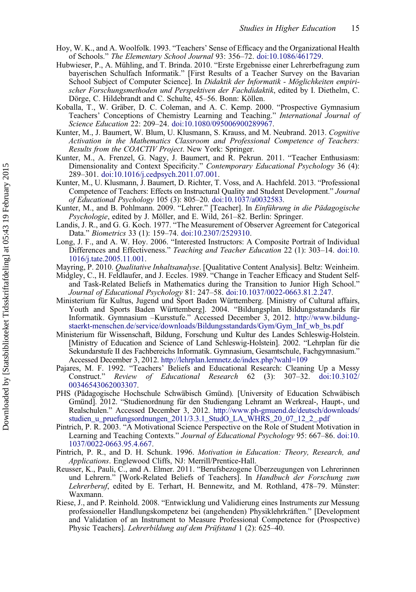- <span id="page-16-0"></span>Hoy, W. K., and A. Woolfolk. 1993. "Teachers' Sense of Efficacy and the Organizational Health of Schools." The Elementary School Journal 93: 356–72. [doi:10.1086/461729](http://dx.doi.org/10.1086/461729).
- Hubwieser, P., A. Mühling, and T. Brinda. 2010. "Erste Ergebnisse einer Lehrerbefragung zum bayerischen Schulfach Informatik." [First Results of a Teacher Survey on the Bavarian School Subject of Computer Science]. In Didaktik der Informatik - Möglichkeiten empirischer Forschungsmethoden und Perspektiven der Fachdidaktik, edited by I. Diethelm, C. Dörge, C. Hildebrandt and C. Schulte, 45–56. Bonn: Köllen.
- Koballa, T., W. Gräber, D. C. Coleman, and A. C. Kemp. 2000. "Prospective Gymnasium Teachers' Conceptions of Chemistry Learning and Teaching." International Journal of Science Education 22: 209–24. [doi:10.1080/095006900289967](http://dx.doi.org/10.1080/095006900289967).
- Kunter, M., J. Baumert, W. Blum, U. Klusmann, S. Krauss, and M. Neubrand. 2013. Cognitive Activation in the Mathematics Classroom and Professional Competence of Teachers: Results from the COACTIV Project. New York: Springer.
- Kunter, M., A. Frenzel, G. Nagy, J. Baumert, and R. Pekrun. 2011. "Teacher Enthusiasm: Dimensionality and Context Specificity." Contemporary Educational Psychology 36 (4): 289–301. [doi:10.1016/j.cedpsych.2011.07.001](http://dx.doi.org/10.1016/j.cedpsych.2011.07.001).
- Kunter, M., U. Klusmann, J. Baumert, D. Richter, T. Voss, and A. Hachfeld. 2013. "Professional Competence of Teachers: Effects on Instructural Quality and Student Development." Journal of Educational Psychology 105 (3): 805–20. [doi:10.1037/a0032583](http://dx.doi.org/10.1037/a0032583).
- Kunter, M., and B. Pohlmann. 2009. "Lehrer." [Teacher]. In Einführung in die Pädagogische Psychologie, edited by J. Möller, and E. Wild, 261–82. Berlin: Springer.
- Landis, J. R., and G. G. Koch. 1977. "The Measurement of Observer Agreement for Categorical Data." Biometrics 33 (1): 159–74. [doi:10.2307/2529310](http://dx.doi.org/10.2307/2529310).
- Long, J. F., and A. W. Hoy. 2006. "Interested Instructors: A Composite Portrait of Individual Differences and Effectiveness." Teaching and Teacher Education 22 (1): 303–14. [doi:10.](http://dx.doi.org/10.1016/j.tate.2005.11.001) [1016/j.tate.2005.11.001.](http://dx.doi.org/10.1016/j.tate.2005.11.001)
- Mayring, P. 2010. Qualitative Inhaltsanalyse. [Qualitative Content Analysis]. Beltz: Weinheim.
- Midgley, C., H. Feldlaufer, and J. Eccles. 1989. "Change in Teacher Efficacy and Student Selfand Task-Related Beliefs in Mathematics during the Transition to Junior High School." Journal of Educational Psychology 81: 247–58. [doi:10.1037/0022-0663.81.2.247](http://dx.doi.org/10.1037/0022-0663.81.2.247).
- Ministerium für Kultus, Jugend und Sport Baden Württemberg. [Ministry of Cultural affairs, Youth and Sports Baden Württemberg]. 2004. "Bildungsplan. Bildungsstandards für Informatik. Gymnasium –Kursstufe." Accessed December 3, 2012. [http://www.bildung](http://www.bildung-staerkt-menschen.de/service/downloads/Bildungsstandards/Gym/Gym_Inf_wb_bs.pdf)[staerkt-menschen.de/service/downloads/Bildungsstandards/Gym/Gym\\_Inf\\_wb\\_bs.pdf](http://www.bildung-staerkt-menschen.de/service/downloads/Bildungsstandards/Gym/Gym_Inf_wb_bs.pdf)
- Ministerium für Wissenschaft, Bildung, Forschung und Kultur des Landes Schleswig-Holstein. [Ministry of Education and Science of Land Schleswig-Holstein]. 2002. "Lehrplan für die Sekundarstufe II des Fachbereichs Informatik. Gymnasium, Gesamtschule, Fachgymnasium." Accessed December 3, 2012. <http://lehrplan.lernnetz.de/index.php?wahl=109>
- Pajares, M. F. 1992. "Teachers' Beliefs and Educational Research: Cleaning Up a Messy Construct." Review of Educational Research 62 (3): 307–32. [doi:10.3102/](http://dx.doi.org/10.3102/00346543062003307) [00346543062003307](http://dx.doi.org/10.3102/00346543062003307).
- PHS (Pädagogische Hochschule Schwäbisch Gmünd). [University of Education Schwäbisch Gmünd]. 2012. "Studienordnung für den Studiengang Lehramt an Werkreal-, Haupt-, und Realschulen." Accessed December 3, 2012. [http://www.ph-gmuend.de/deutsch/downloads/](http://www.ph-gmuend.de/deutsch/downloads/studien_u_pruefungsordnungen_2011/3.3.1_StudO_LA_WHRS_20_07_12_2_.pdf) [studien\\_u\\_pruefungsordnungen\\_2011/3.3.1\\_StudO\\_LA\\_WHRS\\_20\\_07\\_12\\_2\\_.pdf](http://www.ph-gmuend.de/deutsch/downloads/studien_u_pruefungsordnungen_2011/3.3.1_StudO_LA_WHRS_20_07_12_2_.pdf)
- Pintrich, P. R. 2003. "A Motivational Science Perspective on the Role of Student Motivation in Learning and Teaching Contexts." Journal of Educational Psychology 95: 667-86. [doi:10.](http://dx.doi.org/10.1037/0022-0663.95.4.667) [1037/0022-0663.95.4.667](http://dx.doi.org/10.1037/0022-0663.95.4.667).
- Pintrich, P. R., and D. H. Schunk. 1996. Motivation in Education: Theory, Research, and Applications. Englewood Cliffs, NJ: Merrill/Prentice-Hall.
- Reusser, K., Pauli, C., and A. Elmer. 2011. "Berufsbezogene Überzeugungen von Lehrerinnen und Lehrern." [Work-Related Beliefs of Teachers]. In Handbuch der Forschung zum Lehrerberuf, edited by E. Terhart, H. Bennewitz, and M. Rothland, 478–79. Münster: Waxmann.
- Riese, J., and P. Reinhold. 2008. "Entwicklung und Validierung eines Instruments zur Messung professioneller Handlungskompetenz bei (angehenden) Physiklehrkräften." [Development and Validation of an Instrument to Measure Professional Competence for (Prospective) Physic Teachers]. Lehrerbildung auf dem Prüfstand 1 (2): 625–40.